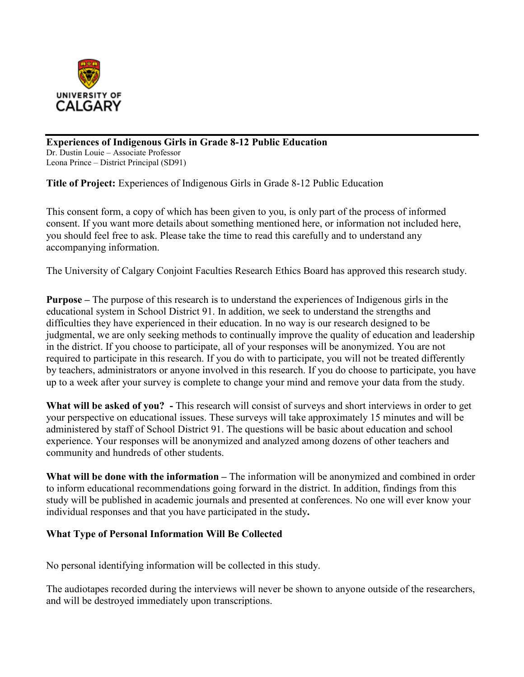

**Experiences of Indigenous Girls in Grade 8-12 Public Education** Dr. Dustin Louie – Associate Professor Leona Prince – District Principal (SD91)

**Title of Project:** Experiences of Indigenous Girls in Grade 8-12 Public Education

This consent form, a copy of which has been given to you, is only part of the process of informed consent. If you want more details about something mentioned here, or information not included here, you should feel free to ask. Please take the time to read this carefully and to understand any accompanying information.

The University of Calgary Conjoint Faculties Research Ethics Board has approved this research study.

**Purpose –** The purpose of this research is to understand the experiences of Indigenous girls in the educational system in School District 91. In addition, we seek to understand the strengths and difficulties they have experienced in their education. In no way is our research designed to be judgmental, we are only seeking methods to continually improve the quality of education and leadership in the district. If you choose to participate, all of your responses will be anonymized. You are not required to participate in this research. If you do with to participate, you will not be treated differently by teachers, administrators or anyone involved in this research. If you do choose to participate, you have up to a week after your survey is complete to change your mind and remove your data from the study.

**What will be asked of you? -** This research will consist of surveys and short interviews in order to get your perspective on educational issues. These surveys will take approximately 15 minutes and will be administered by staff of School District 91. The questions will be basic about education and school experience. Your responses will be anonymized and analyzed among dozens of other teachers and community and hundreds of other students.

**What will be done with the information –** The information will be anonymized and combined in order to inform educational recommendations going forward in the district. In addition, findings from this study will be published in academic journals and presented at conferences. No one will ever know your individual responses and that you have participated in the study**.** 

#### **What Type of Personal Information Will Be Collected**

No personal identifying information will be collected in this study.

The audiotapes recorded during the interviews will never be shown to anyone outside of the researchers, and will be destroyed immediately upon transcriptions.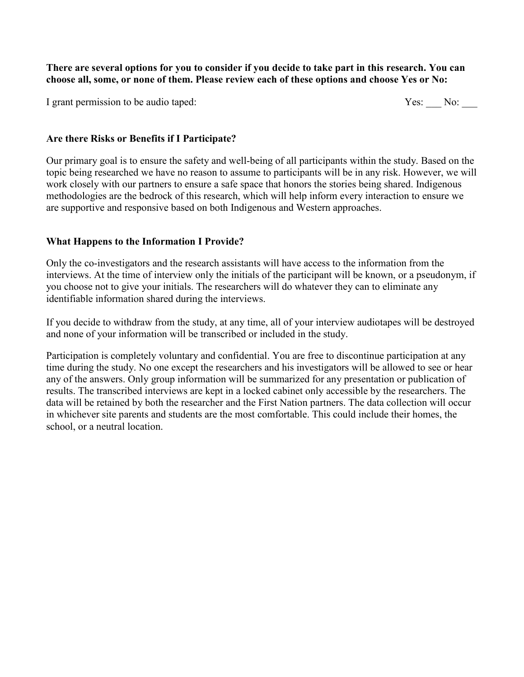**There are several options for you to consider if you decide to take part in this research. You can choose all, some, or none of them. Please review each of these options and choose Yes or No:**

I grant permission to be audio taped:

| -37 | √∩. |  |
|-----|-----|--|
|     |     |  |

## **Are there Risks or Benefits if I Participate?**

Our primary goal is to ensure the safety and well-being of all participants within the study. Based on the topic being researched we have no reason to assume to participants will be in any risk. However, we will work closely with our partners to ensure a safe space that honors the stories being shared. Indigenous methodologies are the bedrock of this research, which will help inform every interaction to ensure we are supportive and responsive based on both Indigenous and Western approaches.

# **What Happens to the Information I Provide?**

Only the co-investigators and the research assistants will have access to the information from the interviews. At the time of interview only the initials of the participant will be known, or a pseudonym, if you choose not to give your initials. The researchers will do whatever they can to eliminate any identifiable information shared during the interviews.

If you decide to withdraw from the study, at any time, all of your interview audiotapes will be destroyed and none of your information will be transcribed or included in the study.

Participation is completely voluntary and confidential. You are free to discontinue participation at any time during the study. No one except the researchers and his investigators will be allowed to see or hear any of the answers. Only group information will be summarized for any presentation or publication of results. The transcribed interviews are kept in a locked cabinet only accessible by the researchers. The data will be retained by both the researcher and the First Nation partners. The data collection will occur in whichever site parents and students are the most comfortable. This could include their homes, the school, or a neutral location.